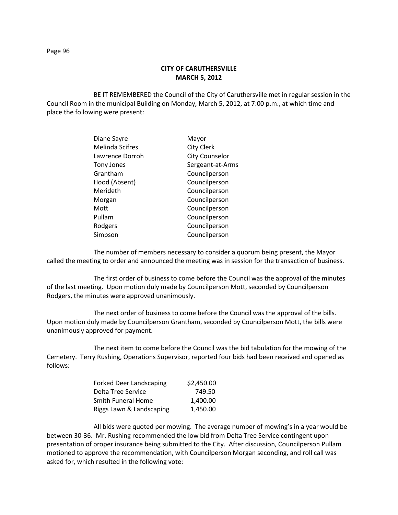## **CITY OF CARUTHERSVILLE MARCH 5, 2012**

BE IT REMEMBERED the Council of the City of Caruthersville met in regular session in the Council Room in the municipal Building on Monday, March 5, 2012, at 7:00 p.m., at which time and place the following were present:

| Diane Sayre            | Mayor                 |
|------------------------|-----------------------|
| <b>Melinda Scifres</b> | <b>City Clerk</b>     |
| Lawrence Dorroh        | <b>City Counselor</b> |
| Tony Jones             | Sergeant-at-Arms      |
| Grantham               | Councilperson         |
| Hood (Absent)          | Councilperson         |
| Merideth               | Councilperson         |
| Morgan                 | Councilperson         |
| Mott                   | Councilperson         |
| Pullam                 | Councilperson         |
| Rodgers                | Councilperson         |
| Simpson                | Councilperson         |
|                        |                       |

The number of members necessary to consider a quorum being present, the Mayor called the meeting to order and announced the meeting was in session for the transaction of business.

The first order of business to come before the Council was the approval of the minutes of the last meeting. Upon motion duly made by Councilperson Mott, seconded by Councilperson Rodgers, the minutes were approved unanimously.

The next order of business to come before the Council was the approval of the bills. Upon motion duly made by Councilperson Grantham, seconded by Councilperson Mott, the bills were unanimously approved for payment.

The next item to come before the Council was the bid tabulation for the mowing of the Cemetery. Terry Rushing, Operations Supervisor, reported four bids had been received and opened as follows:

| <b>Forked Deer Landscaping</b> | \$2,450.00 |
|--------------------------------|------------|
| Delta Tree Service             | 749.50     |
| <b>Smith Funeral Home</b>      | 1.400.00   |
| Riggs Lawn & Landscaping       | 1.450.00   |

All bids were quoted per mowing. The average number of mowing's in a year would be between 30-36. Mr. Rushing recommended the low bid from Delta Tree Service contingent upon presentation of proper insurance being submitted to the City. After discussion, Councilperson Pullam motioned to approve the recommendation, with Councilperson Morgan seconding, and roll call was asked for, which resulted in the following vote: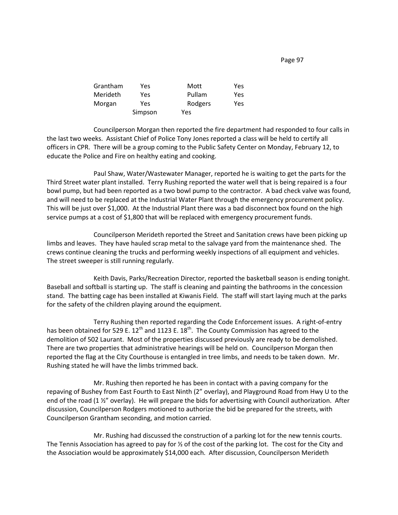Page 97

| Grantham | Yes     | Mott    | Yes  |
|----------|---------|---------|------|
| Merideth | Yes     | Pullam  | Yes. |
| Morgan   | Yes     | Rodgers | Yes  |
|          | Simpson | Yes     |      |

Councilperson Morgan then reported the fire department had responded to four calls in the last two weeks. Assistant Chief of Police Tony Jones reported a class will be held to certify all officers in CPR. There will be a group coming to the Public Safety Center on Monday, February 12, to educate the Police and Fire on healthy eating and cooking.

Paul Shaw, Water/Wastewater Manager, reported he is waiting to get the parts for the Third Street water plant installed. Terry Rushing reported the water well that is being repaired is a four bowl pump, but had been reported as a two bowl pump to the contractor. A bad check valve was found, and will need to be replaced at the Industrial Water Plant through the emergency procurement policy. This will be just over \$1,000. At the Industrial Plant there was a bad disconnect box found on the high service pumps at a cost of \$1,800 that will be replaced with emergency procurement funds.

Councilperson Merideth reported the Street and Sanitation crews have been picking up limbs and leaves. They have hauled scrap metal to the salvage yard from the maintenance shed. The crews continue cleaning the trucks and performing weekly inspections of all equipment and vehicles. The street sweeper is still running regularly.

Keith Davis, Parks/Recreation Director, reported the basketball season is ending tonight. Baseball and softball is starting up. The staff is cleaning and painting the bathrooms in the concession stand. The batting cage has been installed at Kiwanis Field. The staff will start laying much at the parks for the safety of the children playing around the equipment.

Terry Rushing then reported regarding the Code Enforcement issues. A right-of-entry has been obtained for 529 E.  $12<sup>th</sup>$  and 1123 E.  $18<sup>th</sup>$ . The County Commission has agreed to the demolition of 502 Laurant. Most of the properties discussed previously are ready to be demolished. There are two properties that administrative hearings will be held on. Councilperson Morgan then reported the flag at the City Courthouse is entangled in tree limbs, and needs to be taken down. Mr. Rushing stated he will have the limbs trimmed back.

Mr. Rushing then reported he has been in contact with a paving company for the repaving of Bushey from East Fourth to East Ninth (2" overlay), and Playground Road from Hwy U to the end of the road (1 ½" overlay). He will prepare the bids for advertising with Council authorization. After discussion, Councilperson Rodgers motioned to authorize the bid be prepared for the streets, with Councilperson Grantham seconding, and motion carried.

Mr. Rushing had discussed the construction of a parking lot for the new tennis courts. The Tennis Association has agreed to pay for  $\frac{1}{2}$  of the cost of the parking lot. The cost for the City and the Association would be approximately \$14,000 each. After discussion, Councilperson Merideth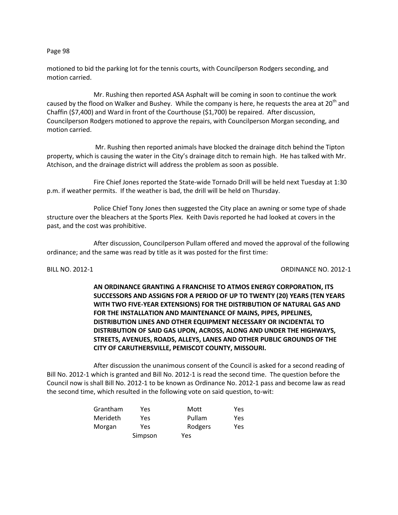## Page 98

motioned to bid the parking lot for the tennis courts, with Councilperson Rodgers seconding, and motion carried.

Mr. Rushing then reported ASA Asphalt will be coming in soon to continue the work caused by the flood on Walker and Bushey. While the company is here, he requests the area at 20<sup>th</sup> and Chaffin (\$7,400) and Ward in front of the Courthouse (\$1,700) be repaired. After discussion, Councilperson Rodgers motioned to approve the repairs, with Councilperson Morgan seconding, and motion carried.

Mr. Rushing then reported animals have blocked the drainage ditch behind the Tipton property, which is causing the water in the City's drainage ditch to remain high. He has talked with Mr. Atchison, and the drainage district will address the problem as soon as possible.

Fire Chief Jones reported the State-wide Tornado Drill will be held next Tuesday at 1:30 p.m. if weather permits. If the weather is bad, the drill will be held on Thursday.

Police Chief Tony Jones then suggested the City place an awning or some type of shade structure over the bleachers at the Sports Plex. Keith Davis reported he had looked at covers in the past, and the cost was prohibitive.

After discussion, Councilperson Pullam offered and moved the approval of the following ordinance; and the same was read by title as it was posted for the first time:

## BILL NO. 2012-1 ORDINANCE NO. 2012-1

**AN ORDINANCE GRANTING A FRANCHISE TO ATMOS ENERGY CORPORATION, ITS SUCCESSORS AND ASSIGNS FOR A PERIOD OF UP TO TWENTY (20) YEARS (TEN YEARS WITH TWO FIVE-YEAR EXTENSIONS) FOR THE DISTRIBUTION OF NATURAL GAS AND FOR THE INSTALLATION AND MAINTENANCE OF MAINS, PIPES, PIPELINES, DISTRIBUTION LINES AND OTHER EQUIPMENT NECESSARY OR INCIDENTAL TO DISTRIBUTION OF SAID GAS UPON, ACROSS, ALONG AND UNDER THE HIGHWAYS, STREETS, AVENUES, ROADS, ALLEYS, LANES AND OTHER PUBLIC GROUNDS OF THE CITY OF CARUTHERSVILLE, PEMISCOT COUNTY, MISSOURI.**

After discussion the unanimous consent of the Council is asked for a second reading of Bill No. 2012-1 which is granted and Bill No. 2012-1 is read the second time. The question before the Council now is shall Bill No. 2012-1 to be known as Ordinance No. 2012-1 pass and become law as read the second time, which resulted in the following vote on said question, to-wit:

| Grantham        | Yes     | Mott    | Yes |
|-----------------|---------|---------|-----|
| <b>Merideth</b> | Yes     | Pullam  | Yes |
| Morgan          | Yes     | Rodgers | Yes |
|                 | Simpson | Yes     |     |